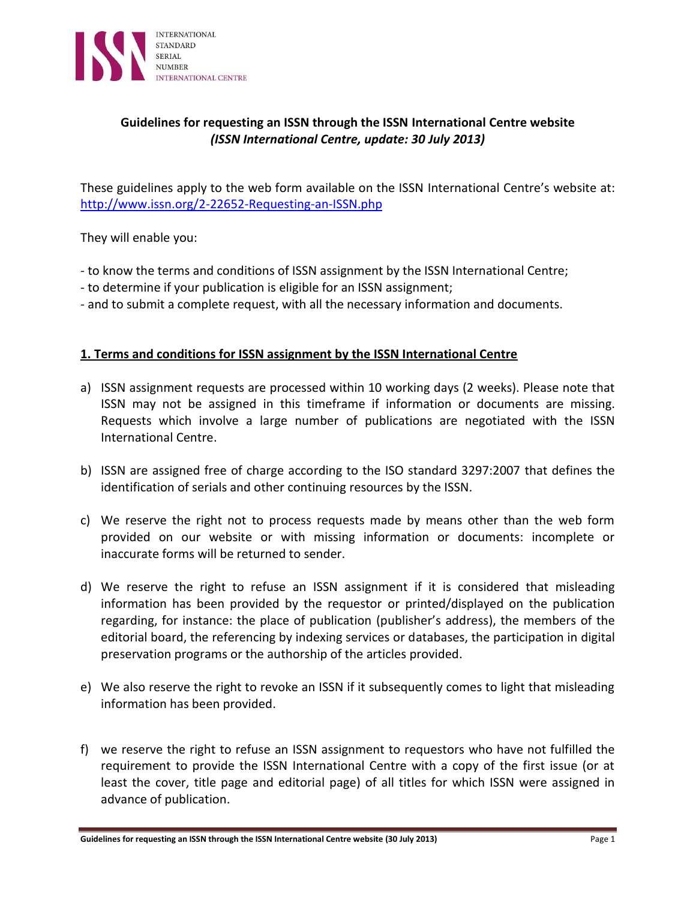

# **Guidelines for requesting an ISSN through the ISSN International Centre website** *(ISSN International Centre, update: 30 July 2013)*

These guidelines apply to the web form available on the ISSN International Centre's website at: <http://www.issn.org/2-22652-Requesting-an-ISSN.php>

They will enable you:

- to know the terms and conditions of ISSN assignment by the ISSN International Centre;
- to determine if your publication is eligible for an ISSN assignment;
- and to submit a complete request, with all the necessary information and documents.

## **1. Terms and conditions for ISSN assignment by the ISSN International Centre**

- a) ISSN assignment requests are processed within 10 working days (2 weeks). Please note that ISSN may not be assigned in this timeframe if information or documents are missing. Requests which involve a large number of publications are negotiated with the ISSN International Centre.
- b) ISSN are assigned free of charge according to the ISO standard 3297:2007 that defines the identification of serials and other continuing resources by the ISSN.
- c) We reserve the right not to process requests made by means other than the web form provided on our website or with missing information or documents: incomplete or inaccurate forms will be returned to sender.
- d) We reserve the right to refuse an ISSN assignment if it is considered that misleading information has been provided by the requestor or printed/displayed on the publication regarding, for instance: the place of publication (publisher's address), the members of the editorial board, the referencing by indexing services or databases, the participation in digital preservation programs or the authorship of the articles provided.
- e) We also reserve the right to revoke an ISSN if it subsequently comes to light that misleading information has been provided.
- f) we reserve the right to refuse an ISSN assignment to requestors who have not fulfilled the requirement to provide the ISSN International Centre with a copy of the first issue (or at least the cover, title page and editorial page) of all titles for which ISSN were assigned in advance of publication.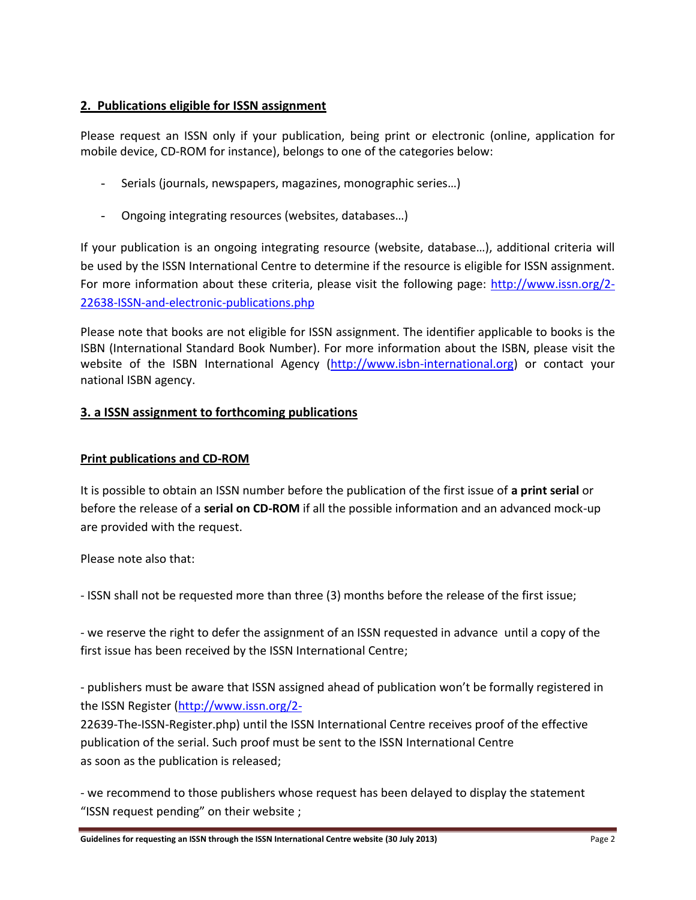# **2. Publications eligible for ISSN assignment**

Please request an ISSN only if your publication, being print or electronic (online, application for mobile device, CD-ROM for instance), belongs to one of the categories below:

- Serials (journals, newspapers, magazines, monographic series…)
- Ongoing integrating resources (websites, databases...)

If your publication is an ongoing integrating resource (website, database…), additional criteria will be used by the ISSN International Centre to determine if the resource is eligible for ISSN assignment. For more information about these criteria, please visit the following page: [http://www.issn.org/2-](http://www.issn.org/2-22638-ISSN-and-electronic-publications.php) [22638-ISSN-and-electronic-publications.php](http://www.issn.org/2-22638-ISSN-and-electronic-publications.php)

Please note that books are not eligible for ISSN assignment. The identifier applicable to books is the ISBN (International Standard Book Number). For more information about the ISBN, please visit the website of the ISBN International Agency [\(http://www.isbn-international.org\)](http://www.isbn-international.org/) or contact your national ISBN agency.

# **3. a ISSN assignment to forthcoming publications**

# **Print publications and CD-ROM**

It is possible to obtain an ISSN number before the publication of the first issue of **a print serial** or before the release of a **serial on CD-ROM** if all the possible information and an advanced mock-up are provided with the request.

Please note also that:

- ISSN shall not be requested more than three (3) months before the release of the first issue;

- we reserve the right to defer the assignment of an ISSN requested in advance until a copy of the first issue has been received by the ISSN International Centre;

- publishers must be aware that ISSN assigned ahead of publication won't be formally registered in the ISSN Register [\(http://www.issn.org/2-](http://www.issn.org/2-)

22639-The-ISSN-Register.php) until the ISSN International Centre receives proof of the effective publication of the serial. Such proof must be sent to the ISSN International Centre as soon as the publication is released;

- we recommend to those publishers whose request has been delayed to display the statement "ISSN request pending" on their website ;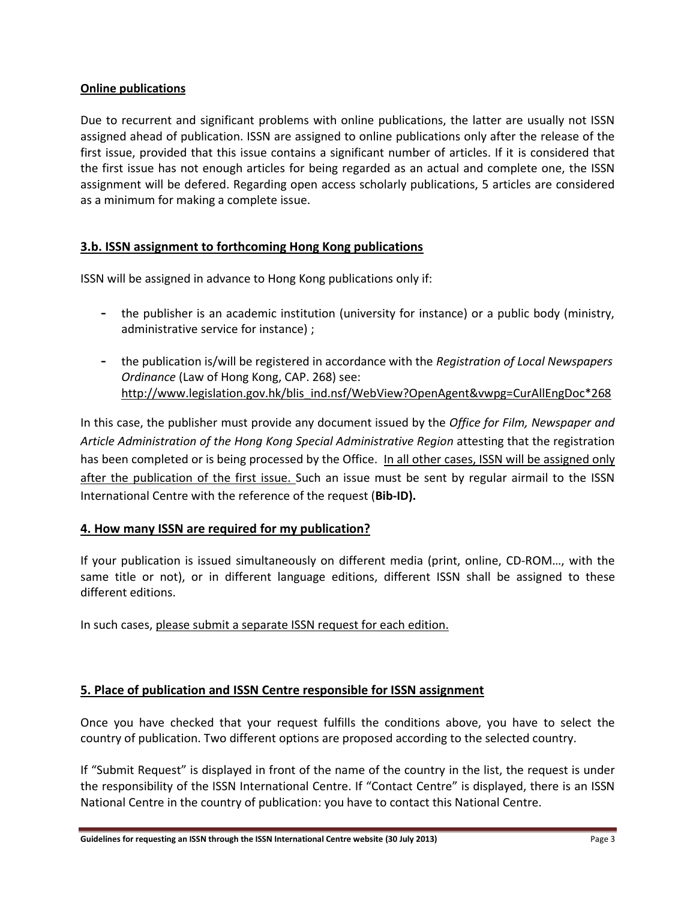## **Online publications**

Due to recurrent and significant problems with online publications, the latter are usually not ISSN assigned ahead of publication. ISSN are assigned to online publications only after the release of the first issue, provided that this issue contains a significant number of articles. If it is considered that the first issue has not enough articles for being regarded as an actual and complete one, the ISSN assignment will be defered. Regarding open access scholarly publications, 5 articles are considered as a minimum for making a complete issue.

## **3.b. ISSN assignment to forthcoming Hong Kong publications**

ISSN will be assigned in advance to Hong Kong publications only if:

- **-** the publisher is an academic institution (university for instance) or a public body (ministry, administrative service for instance) ;
- **-** the publication is/will be registered in accordance with the *Registration of Local Newspapers Ordinance* (Law of Hong Kong, CAP. 268) see: [http://www.legislation.gov.hk/blis\\_ind.nsf/WebView?OpenAgent&vwpg=CurAllEngDoc\\*268](http://www.legislation.gov.hk/blis_ind.nsf/WebView?OpenAgent&vwpg=CurAllEngDoc*268)

In this case, the publisher must provide any document issued by the *Office for Film, Newspaper and Article Administration of the Hong Kong Special Administrative Region* attesting that the registration has been completed or is being processed by the Office. In all other cases, ISSN will be assigned only after the publication of the first issue. Such an issue must be sent by regular airmail to the ISSN International Centre with the reference of the request (**Bib-ID).**

## **4. How many ISSN are required for my publication?**

If your publication is issued simultaneously on different media (print, online, CD-ROM…, with the same title or not), or in different language editions, different ISSN shall be assigned to these different editions.

In such cases, please submit a separate ISSN request for each edition.

# **5. Place of publication and ISSN Centre responsible for ISSN assignment**

Once you have checked that your request fulfills the conditions above, you have to select the country of publication. Two different options are proposed according to the selected country.

If "Submit Request" is displayed in front of the name of the country in the list, the request is under the responsibility of the ISSN International Centre. If "Contact Centre" is displayed, there is an ISSN National Centre in the country of publication: you have to contact this National Centre.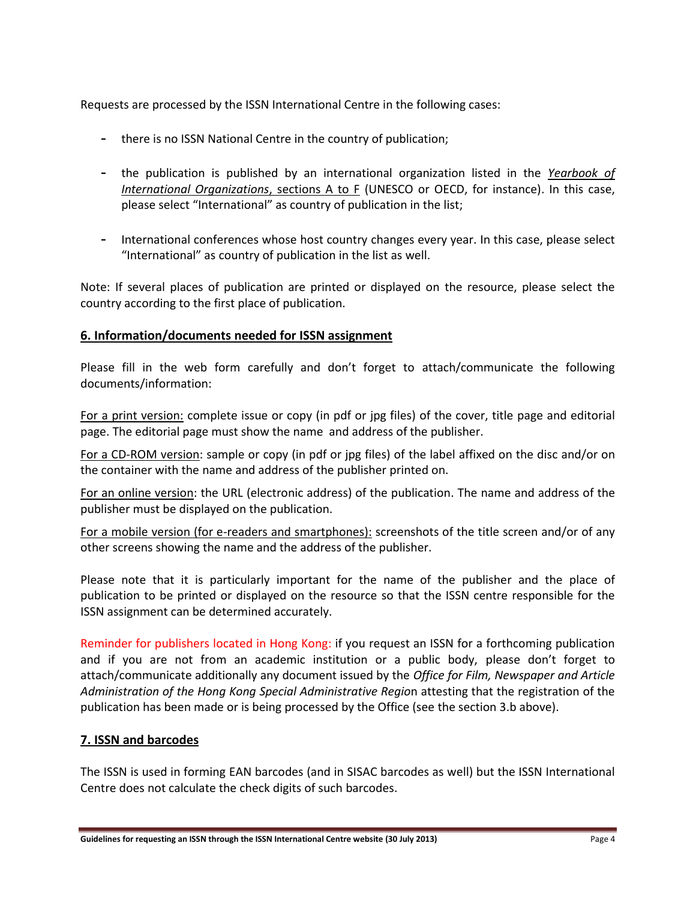Requests are processed by the ISSN International Centre in the following cases:

- **-** there is no ISSN National Centre in the country of publication;
- **-** the publication is published by an international organization listed in the *Yearbook of International Organizations*, sections A to F (UNESCO or OECD, for instance). In this case, please select "International" as country of publication in the list;
- **-** International conferences whose host country changes every year. In this case, please select "International" as country of publication in the list as well.

Note: If several places of publication are printed or displayed on the resource, please select the country according to the first place of publication.

### **6. Information/documents needed for ISSN assignment**

Please fill in the web form carefully and don't forget to attach/communicate the following documents/information:

For a print version: complete issue or copy (in pdf or jpg files) of the cover, title page and editorial page. The editorial page must show the name and address of the publisher.

For a CD-ROM version: sample or copy (in pdf or jpg files) of the label affixed on the disc and/or on the container with the name and address of the publisher printed on.

For an online version: the URL (electronic address) of the publication. The name and address of the publisher must be displayed on the publication.

For a mobile version (for e-readers and smartphones): screenshots of the title screen and/or of any other screens showing the name and the address of the publisher.

Please note that it is particularly important for the name of the publisher and the place of publication to be printed or displayed on the resource so that the ISSN centre responsible for the ISSN assignment can be determined accurately.

Reminder for publishers located in Hong Kong: if you request an ISSN for a forthcoming publication and if you are not from an academic institution or a public body, please don't forget to attach/communicate additionally any document issued by the *Office for Film, Newspaper and Article Administration of the Hong Kong Special Administrative Regio*n attesting that the registration of the publication has been made or is being processed by the Office (see the section 3.b above).

#### **7. ISSN and barcodes**

The ISSN is used in forming EAN barcodes (and in SISAC barcodes as well) but the ISSN International Centre does not calculate the check digits of such barcodes.